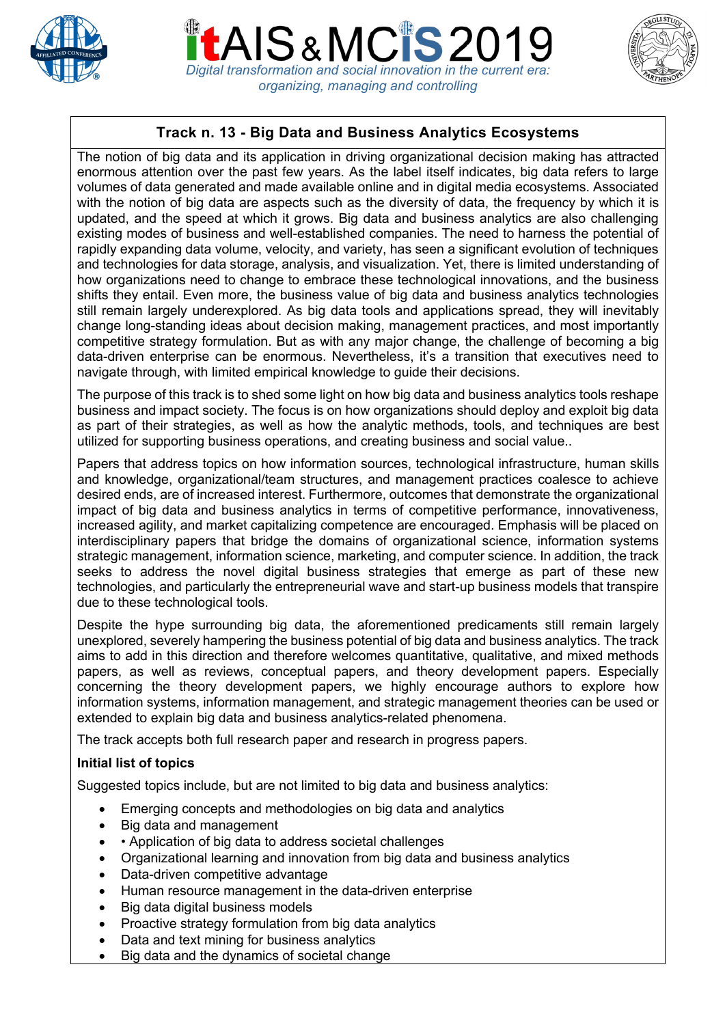





# **Track n. 13 - Big Data and Business Analytics Ecosystems**

The notion of big data and its application in driving organizational decision making has attracted enormous attention over the past few years. As the label itself indicates, big data refers to large volumes of data generated and made available online and in digital media ecosystems. Associated with the notion of big data are aspects such as the diversity of data, the frequency by which it is updated, and the speed at which it grows. Big data and business analytics are also challenging existing modes of business and well-established companies. The need to harness the potential of rapidly expanding data volume, velocity, and variety, has seen a significant evolution of techniques and technologies for data storage, analysis, and visualization. Yet, there is limited understanding of how organizations need to change to embrace these technological innovations, and the business shifts they entail. Even more, the business value of big data and business analytics technologies still remain largely underexplored. As big data tools and applications spread, they will inevitably change long-standing ideas about decision making, management practices, and most importantly competitive strategy formulation. But as with any major change, the challenge of becoming a big data-driven enterprise can be enormous. Nevertheless, it's a transition that executives need to navigate through, with limited empirical knowledge to guide their decisions.

The purpose of this track is to shed some light on how big data and business analytics tools reshape business and impact society. The focus is on how organizations should deploy and exploit big data as part of their strategies, as well as how the analytic methods, tools, and techniques are best utilized for supporting business operations, and creating business and social value..

Papers that address topics on how information sources, technological infrastructure, human skills and knowledge, organizational/team structures, and management practices coalesce to achieve desired ends, are of increased interest. Furthermore, outcomes that demonstrate the organizational impact of big data and business analytics in terms of competitive performance, innovativeness, increased agility, and market capitalizing competence are encouraged. Emphasis will be placed on interdisciplinary papers that bridge the domains of organizational science, information systems strategic management, information science, marketing, and computer science. In addition, the track seeks to address the novel digital business strategies that emerge as part of these new technologies, and particularly the entrepreneurial wave and start-up business models that transpire due to these technological tools.

Despite the hype surrounding big data, the aforementioned predicaments still remain largely unexplored, severely hampering the business potential of big data and business analytics. The track aims to add in this direction and therefore welcomes quantitative, qualitative, and mixed methods papers, as well as reviews, conceptual papers, and theory development papers. Especially concerning the theory development papers, we highly encourage authors to explore how information systems, information management, and strategic management theories can be used or extended to explain big data and business analytics-related phenomena.

The track accepts both full research paper and research in progress papers.

## **Initial list of topics**

Suggested topics include, but are not limited to big data and business analytics:

- Emerging concepts and methodologies on big data and analytics
- Big data and management
- • Application of big data to address societal challenges
- Organizational learning and innovation from big data and business analytics
- Data-driven competitive advantage
- Human resource management in the data-driven enterprise
- Big data digital business models
- Proactive strategy formulation from big data analytics
- Data and text mining for business analytics
- Big data and the dynamics of societal change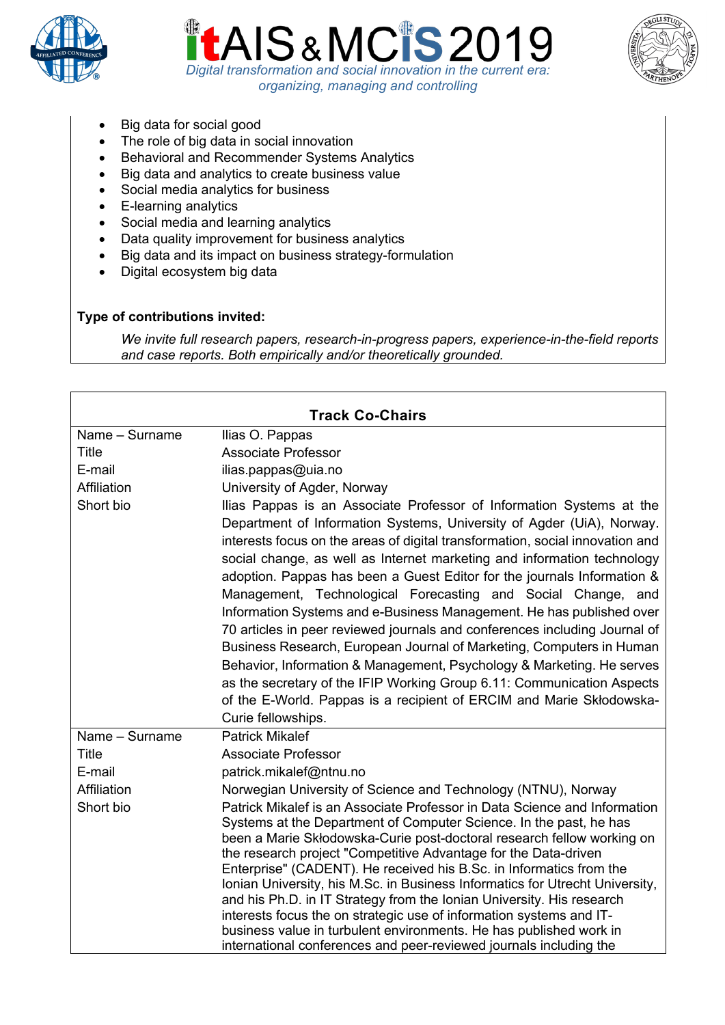





- Big data for social good
- The role of big data in social innovation
- Behavioral and Recommender Systems Analytics
- Big data and analytics to create business value
- Social media analytics for business
- E-learning analytics
- Social media and learning analytics
- Data quality improvement for business analytics
- Big data and its impact on business strategy-formulation
- Digital ecosystem big data

### **Type of contributions invited:**

*We invite full research papers, research-in-progress papers, experience-in-the-field reports and case reports. Both empirically and/or theoretically grounded.*

| <b>Track Co-Chairs</b> |                                                                                                                                                                                                                                                                                                                                                                                                                                                                                                                                                                                                                                                                                                                                                                                                                                                                                                                                     |  |
|------------------------|-------------------------------------------------------------------------------------------------------------------------------------------------------------------------------------------------------------------------------------------------------------------------------------------------------------------------------------------------------------------------------------------------------------------------------------------------------------------------------------------------------------------------------------------------------------------------------------------------------------------------------------------------------------------------------------------------------------------------------------------------------------------------------------------------------------------------------------------------------------------------------------------------------------------------------------|--|
| Name - Surname         | Ilias O. Pappas                                                                                                                                                                                                                                                                                                                                                                                                                                                                                                                                                                                                                                                                                                                                                                                                                                                                                                                     |  |
| <b>Title</b>           | <b>Associate Professor</b>                                                                                                                                                                                                                                                                                                                                                                                                                                                                                                                                                                                                                                                                                                                                                                                                                                                                                                          |  |
| E-mail                 | ilias.pappas@uia.no                                                                                                                                                                                                                                                                                                                                                                                                                                                                                                                                                                                                                                                                                                                                                                                                                                                                                                                 |  |
| Affiliation            | University of Agder, Norway                                                                                                                                                                                                                                                                                                                                                                                                                                                                                                                                                                                                                                                                                                                                                                                                                                                                                                         |  |
| Short bio              | Ilias Pappas is an Associate Professor of Information Systems at the<br>Department of Information Systems, University of Agder (UiA), Norway.<br>interests focus on the areas of digital transformation, social innovation and<br>social change, as well as Internet marketing and information technology<br>adoption. Pappas has been a Guest Editor for the journals Information &<br>Management, Technological Forecasting and Social Change, and<br>Information Systems and e-Business Management. He has published over<br>70 articles in peer reviewed journals and conferences including Journal of<br>Business Research, European Journal of Marketing, Computers in Human<br>Behavior, Information & Management, Psychology & Marketing. He serves<br>as the secretary of the IFIP Working Group 6.11: Communication Aspects<br>of the E-World. Pappas is a recipient of ERCIM and Marie Skłodowska-<br>Curie fellowships. |  |
| Name - Surname         | <b>Patrick Mikalef</b>                                                                                                                                                                                                                                                                                                                                                                                                                                                                                                                                                                                                                                                                                                                                                                                                                                                                                                              |  |
| <b>Title</b>           | <b>Associate Professor</b>                                                                                                                                                                                                                                                                                                                                                                                                                                                                                                                                                                                                                                                                                                                                                                                                                                                                                                          |  |
| E-mail                 | patrick.mikalef@ntnu.no                                                                                                                                                                                                                                                                                                                                                                                                                                                                                                                                                                                                                                                                                                                                                                                                                                                                                                             |  |
| Affiliation            | Norwegian University of Science and Technology (NTNU), Norway                                                                                                                                                                                                                                                                                                                                                                                                                                                                                                                                                                                                                                                                                                                                                                                                                                                                       |  |
| Short bio              | Patrick Mikalef is an Associate Professor in Data Science and Information<br>Systems at the Department of Computer Science. In the past, he has<br>been a Marie Skłodowska-Curie post-doctoral research fellow working on<br>the research project "Competitive Advantage for the Data-driven<br>Enterprise" (CADENT). He received his B.Sc. in Informatics from the<br>Ionian University, his M.Sc. in Business Informatics for Utrecht University,<br>and his Ph.D. in IT Strategy from the Ionian University. His research<br>interests focus the on strategic use of information systems and IT-<br>business value in turbulent environments. He has published work in<br>international conferences and peer-reviewed journals including the                                                                                                                                                                                     |  |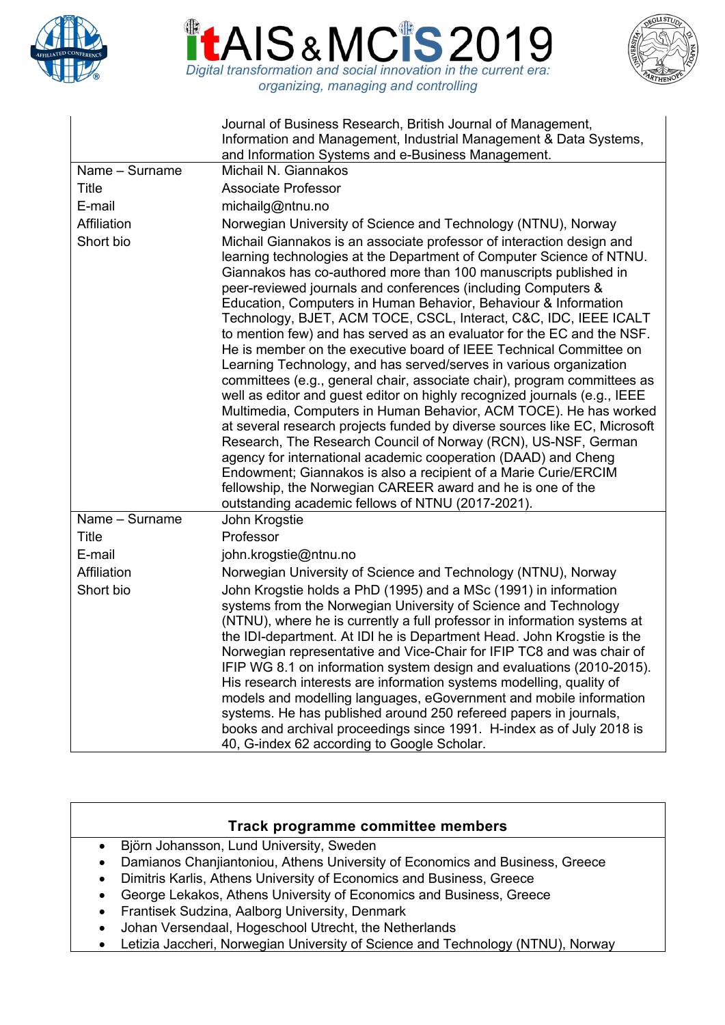





|                | Journal of Business Research, British Journal of Management,<br>Information and Management, Industrial Management & Data Systems,<br>and Information Systems and e-Business Management.                                                                                                                                                                                                                                                                                                                                                                                                                                                                                                                                                                                                                                                                                                                                                                                                                                                                                                                                                                                                                                                                                               |
|----------------|---------------------------------------------------------------------------------------------------------------------------------------------------------------------------------------------------------------------------------------------------------------------------------------------------------------------------------------------------------------------------------------------------------------------------------------------------------------------------------------------------------------------------------------------------------------------------------------------------------------------------------------------------------------------------------------------------------------------------------------------------------------------------------------------------------------------------------------------------------------------------------------------------------------------------------------------------------------------------------------------------------------------------------------------------------------------------------------------------------------------------------------------------------------------------------------------------------------------------------------------------------------------------------------|
| Name - Surname | Michail N. Giannakos                                                                                                                                                                                                                                                                                                                                                                                                                                                                                                                                                                                                                                                                                                                                                                                                                                                                                                                                                                                                                                                                                                                                                                                                                                                                  |
| Title          | <b>Associate Professor</b>                                                                                                                                                                                                                                                                                                                                                                                                                                                                                                                                                                                                                                                                                                                                                                                                                                                                                                                                                                                                                                                                                                                                                                                                                                                            |
| E-mail         | michailg@ntnu.no                                                                                                                                                                                                                                                                                                                                                                                                                                                                                                                                                                                                                                                                                                                                                                                                                                                                                                                                                                                                                                                                                                                                                                                                                                                                      |
| Affiliation    | Norwegian University of Science and Technology (NTNU), Norway                                                                                                                                                                                                                                                                                                                                                                                                                                                                                                                                                                                                                                                                                                                                                                                                                                                                                                                                                                                                                                                                                                                                                                                                                         |
| Short bio      | Michail Giannakos is an associate professor of interaction design and<br>learning technologies at the Department of Computer Science of NTNU.<br>Giannakos has co-authored more than 100 manuscripts published in<br>peer-reviewed journals and conferences (including Computers &<br>Education, Computers in Human Behavior, Behaviour & Information<br>Technology, BJET, ACM TOCE, CSCL, Interact, C&C, IDC, IEEE ICALT<br>to mention few) and has served as an evaluator for the EC and the NSF.<br>He is member on the executive board of IEEE Technical Committee on<br>Learning Technology, and has served/serves in various organization<br>committees (e.g., general chair, associate chair), program committees as<br>well as editor and guest editor on highly recognized journals (e.g., IEEE<br>Multimedia, Computers in Human Behavior, ACM TOCE). He has worked<br>at several research projects funded by diverse sources like EC, Microsoft<br>Research, The Research Council of Norway (RCN), US-NSF, German<br>agency for international academic cooperation (DAAD) and Cheng<br>Endowment; Giannakos is also a recipient of a Marie Curie/ERCIM<br>fellowship, the Norwegian CAREER award and he is one of the<br>outstanding academic fellows of NTNU (2017-2021). |
| Name - Surname | John Krogstie                                                                                                                                                                                                                                                                                                                                                                                                                                                                                                                                                                                                                                                                                                                                                                                                                                                                                                                                                                                                                                                                                                                                                                                                                                                                         |
| Title          | Professor                                                                                                                                                                                                                                                                                                                                                                                                                                                                                                                                                                                                                                                                                                                                                                                                                                                                                                                                                                                                                                                                                                                                                                                                                                                                             |
| E-mail         | john.krogstie@ntnu.no                                                                                                                                                                                                                                                                                                                                                                                                                                                                                                                                                                                                                                                                                                                                                                                                                                                                                                                                                                                                                                                                                                                                                                                                                                                                 |
| Affiliation    | Norwegian University of Science and Technology (NTNU), Norway                                                                                                                                                                                                                                                                                                                                                                                                                                                                                                                                                                                                                                                                                                                                                                                                                                                                                                                                                                                                                                                                                                                                                                                                                         |
| Short bio      | John Krogstie holds a PhD (1995) and a MSc (1991) in information<br>systems from the Norwegian University of Science and Technology<br>(NTNU), where he is currently a full professor in information systems at<br>the IDI-department. At IDI he is Department Head. John Krogstie is the<br>Norwegian representative and Vice-Chair for IFIP TC8 and was chair of<br>IFIP WG 8.1 on information system design and evaluations (2010-2015).<br>His research interests are information systems modelling, quality of<br>models and modelling languages, eGovernment and mobile information<br>systems. He has published around 250 refereed papers in journals,<br>books and archival proceedings since 1991. H-index as of July 2018 is<br>40, G-index 62 according to Google Scholar.                                                                                                                                                                                                                                                                                                                                                                                                                                                                                                |

## **Track programme committee members**

- Björn Johansson, Lund University, Sweden
- Damianos Chanjiantoniou, Athens University of Economics and Business, Greece
- Dimitris Karlis, Athens University of Economics and Business, Greece
- George Lekakos, Athens University of Economics and Business, Greece
- Frantisek Sudzina, Aalborg University, Denmark
- Johan Versendaal, Hogeschool Utrecht, the Netherlands
- Letizia Jaccheri, Norwegian University of Science and Technology (NTNU), Norway